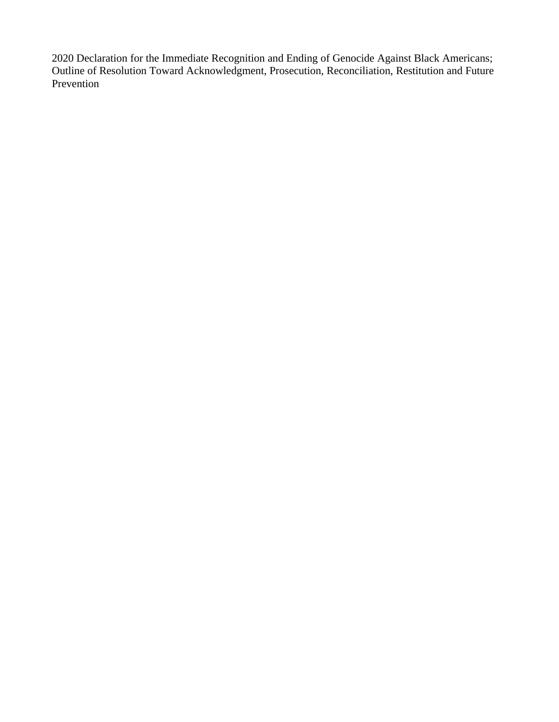2020 Declaration for the Immediate Recognition and Ending of Genocide Against Black Americans; Outline of Resolution Toward Acknowledgment, Prosecution, Reconciliation, Restitution and Future Prevention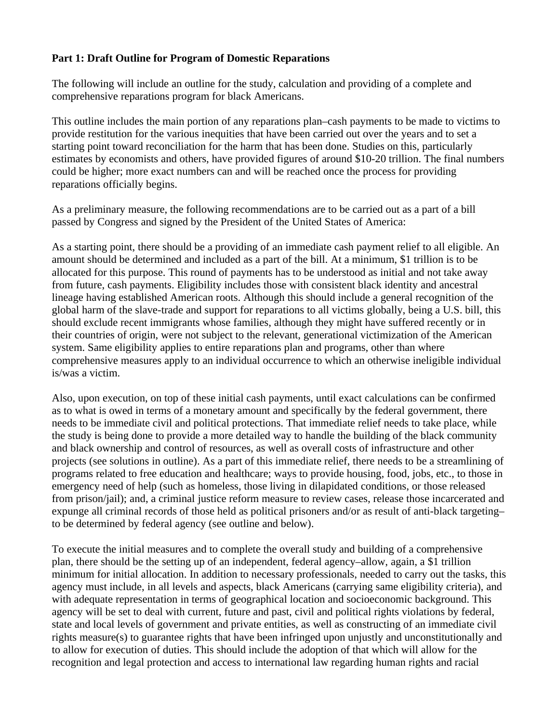## **Part 1: Draft Outline for Program of Domestic Reparations**

The following will include an outline for the study, calculation and providing of a complete and comprehensive reparations program for black Americans.

This outline includes the main portion of any reparations plan–cash payments to be made to victims to provide restitution for the various inequities that have been carried out over the years and to set a starting point toward reconciliation for the harm that has been done. Studies on this, particularly estimates by economists and others, have provided figures of around \$10-20 trillion. The final numbers could be higher; more exact numbers can and will be reached once the process for providing reparations officially begins.

As a preliminary measure, the following recommendations are to be carried out as a part of a bill passed by Congress and signed by the President of the United States of America:

As a starting point, there should be a providing of an immediate cash payment relief to all eligible. An amount should be determined and included as a part of the bill. At a minimum, \$1 trillion is to be allocated for this purpose. This round of payments has to be understood as initial and not take away from future, cash payments. Eligibility includes those with consistent black identity and ancestral lineage having established American roots. Although this should include a general recognition of the global harm of the slave-trade and support for reparations to all victims globally, being a U.S. bill, this should exclude recent immigrants whose families, although they might have suffered recently or in their countries of origin, were not subject to the relevant, generational victimization of the American system. Same eligibility applies to entire reparations plan and programs, other than where comprehensive measures apply to an individual occurrence to which an otherwise ineligible individual is/was a victim.

Also, upon execution, on top of these initial cash payments, until exact calculations can be confirmed as to what is owed in terms of a monetary amount and specifically by the federal government, there needs to be immediate civil and political protections. That immediate relief needs to take place, while the study is being done to provide a more detailed way to handle the building of the black community and black ownership and control of resources, as well as overall costs of infrastructure and other projects (see solutions in outline). As a part of this immediate relief, there needs to be a streamlining of programs related to free education and healthcare; ways to provide housing, food, jobs, etc., to those in emergency need of help (such as homeless, those living in dilapidated conditions, or those released from prison/jail); and, a criminal justice reform measure to review cases, release those incarcerated and expunge all criminal records of those held as political prisoners and/or as result of anti-black targeting– to be determined by federal agency (see outline and below).

To execute the initial measures and to complete the overall study and building of a comprehensive plan, there should be the setting up of an independent, federal agency–allow, again, a \$1 trillion minimum for initial allocation. In addition to necessary professionals, needed to carry out the tasks, this agency must include, in all levels and aspects, black Americans (carrying same eligibility criteria), and with adequate representation in terms of geographical location and socioeconomic background. This agency will be set to deal with current, future and past, civil and political rights violations by federal, state and local levels of government and private entities, as well as constructing of an immediate civil rights measure(s) to guarantee rights that have been infringed upon unjustly and unconstitutionally and to allow for execution of duties. This should include the adoption of that which will allow for the recognition and legal protection and access to international law regarding human rights and racial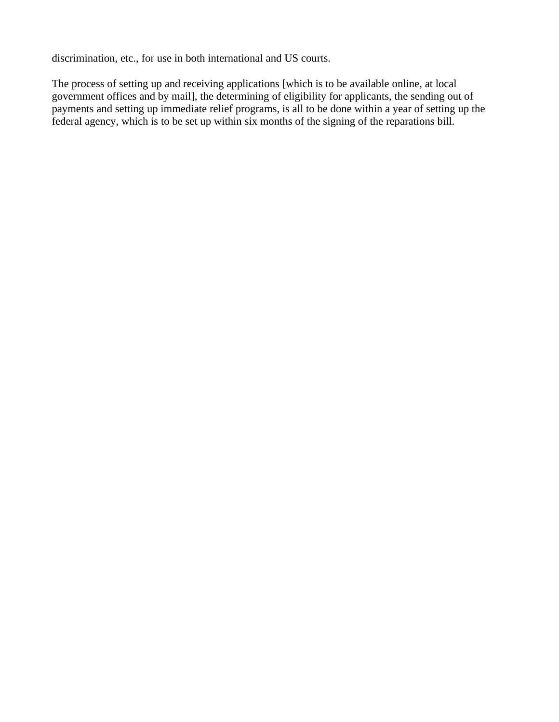discrimination, etc., for use in both international and US courts.

The process of setting up and receiving applications [which is to be available online, at local government offices and by mail], the determining of eligibility for applicants, the sending out of payments and setting up immediate relief programs, is all to be done within a year of setting up the federal agency, which is to be set up within six months of the signing of the reparations bill.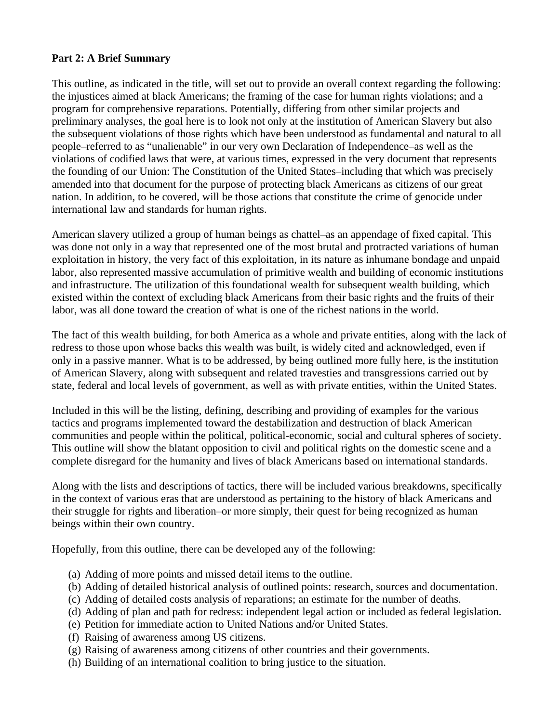## **Part 2: A Brief Summary**

This outline, as indicated in the title, will set out to provide an overall context regarding the following: the injustices aimed at black Americans; the framing of the case for human rights violations; and a program for comprehensive reparations. Potentially, differing from other similar projects and preliminary analyses, the goal here is to look not only at the institution of American Slavery but also the subsequent violations of those rights which have been understood as fundamental and natural to all people–referred to as "unalienable" in our very own Declaration of Independence–as well as the violations of codified laws that were, at various times, expressed in the very document that represents the founding of our Union: The Constitution of the United States–including that which was precisely amended into that document for the purpose of protecting black Americans as citizens of our great nation. In addition, to be covered, will be those actions that constitute the crime of genocide under international law and standards for human rights.

American slavery utilized a group of human beings as chattel–as an appendage of fixed capital. This was done not only in a way that represented one of the most brutal and protracted variations of human exploitation in history, the very fact of this exploitation, in its nature as inhumane bondage and unpaid labor, also represented massive accumulation of primitive wealth and building of economic institutions and infrastructure. The utilization of this foundational wealth for subsequent wealth building, which existed within the context of excluding black Americans from their basic rights and the fruits of their labor, was all done toward the creation of what is one of the richest nations in the world.

The fact of this wealth building, for both America as a whole and private entities, along with the lack of redress to those upon whose backs this wealth was built, is widely cited and acknowledged, even if only in a passive manner. What is to be addressed, by being outlined more fully here, is the institution of American Slavery, along with subsequent and related travesties and transgressions carried out by state, federal and local levels of government, as well as with private entities, within the United States.

Included in this will be the listing, defining, describing and providing of examples for the various tactics and programs implemented toward the destabilization and destruction of black American communities and people within the political, political-economic, social and cultural spheres of society. This outline will show the blatant opposition to civil and political rights on the domestic scene and a complete disregard for the humanity and lives of black Americans based on international standards.

Along with the lists and descriptions of tactics, there will be included various breakdowns, specifically in the context of various eras that are understood as pertaining to the history of black Americans and their struggle for rights and liberation–or more simply, their quest for being recognized as human beings within their own country.

Hopefully, from this outline, there can be developed any of the following:

- (a) Adding of more points and missed detail items to the outline.
- (b) Adding of detailed historical analysis of outlined points: research, sources and documentation.
- (c) Adding of detailed costs analysis of reparations; an estimate for the number of deaths.
- (d) Adding of plan and path for redress: independent legal action or included as federal legislation.
- (e) Petition for immediate action to United Nations and/or United States.
- (f) Raising of awareness among US citizens.
- (g) Raising of awareness among citizens of other countries and their governments.
- (h) Building of an international coalition to bring justice to the situation.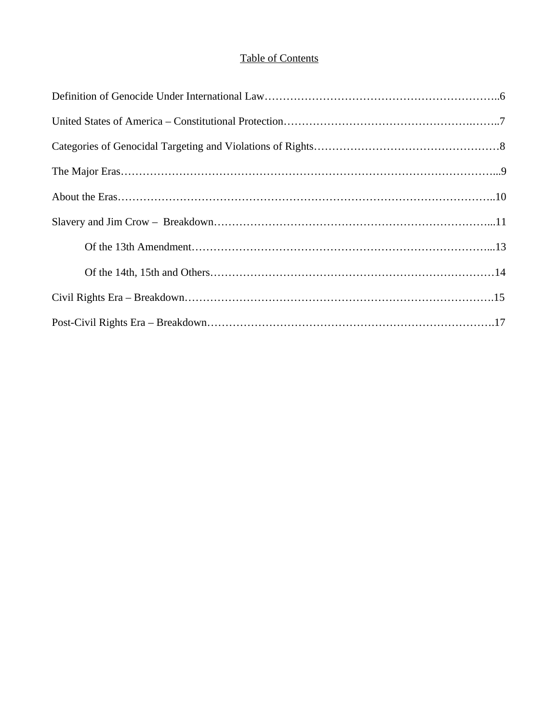# Table of Contents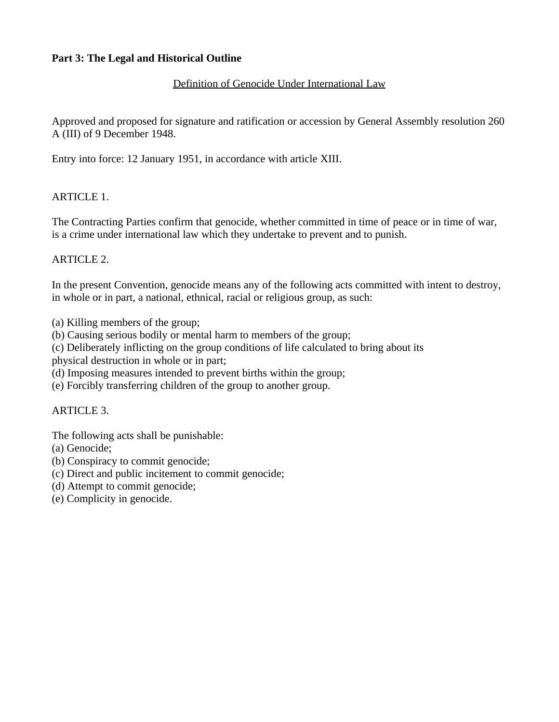## **Part 3: The Legal and Historical Outline**

## Definition of Genocide Under International Law

Approved and proposed for signature and ratification or accession by General Assembly resolution 260 A (III) of 9 December 1948.

Entry into force: 12 January 1951, in accordance with article XIII.

## ARTICLE 1.

The Contracting Parties confirm that genocide, whether committed in time of peace or in time of war, is a crime under international law which they undertake to prevent and to punish.

#### ARTICLE 2.

In the present Convention, genocide means any of the following acts committed with intent to destroy, in whole or in part, a national, ethnical, racial or religious group, as such:

(a) Killing members of the group;

(b) Causing serious bodily or mental harm to members of the group;

(c) Deliberately inflicting on the group conditions of life calculated to bring about its

physical destruction in whole or in part;

(d) Imposing measures intended to prevent births within the group;

(e) Forcibly transferring children of the group to another group.

# ARTICLE 3.

The following acts shall be punishable:

- (a) Genocide;
- (b) Conspiracy to commit genocide;
- (c) Direct and public incitement to commit genocide;
- (d) Attempt to commit genocide;
- (e) Complicity in genocide.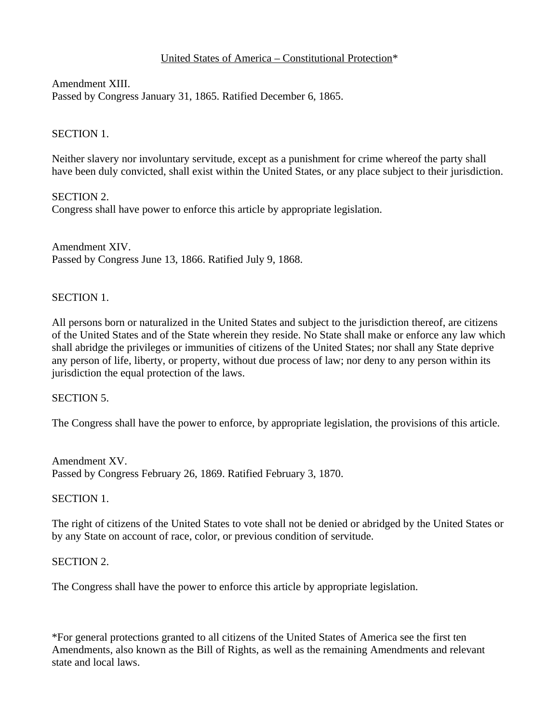# United States of America – Constitutional Protection\*

Amendment XIII. Passed by Congress January 31, 1865. Ratified December 6, 1865.

## SECTION 1.

Neither slavery nor involuntary servitude, except as a punishment for crime whereof the party shall have been duly convicted, shall exist within the United States, or any place subject to their jurisdiction.

SECTION 2. Congress shall have power to enforce this article by appropriate legislation.

Amendment XIV. Passed by Congress June 13, 1866. Ratified July 9, 1868.

## SECTION 1.

All persons born or naturalized in the United States and subject to the jurisdiction thereof, are citizens of the United States and of the State wherein they reside. No State shall make or enforce any law which shall abridge the privileges or immunities of citizens of the United States; nor shall any State deprive any person of life, liberty, or property, without due process of law; nor deny to any person within its jurisdiction the equal protection of the laws.

#### SECTION 5.

The Congress shall have the power to enforce, by appropriate legislation, the provisions of this article.

Amendment XV. Passed by Congress February 26, 1869. Ratified February 3, 1870.

#### SECTION 1.

The right of citizens of the United States to vote shall not be denied or abridged by the United States or by any State on account of race, color, or previous condition of servitude.

#### SECTION 2.

The Congress shall have the power to enforce this article by appropriate legislation.

\*For general protections granted to all citizens of the United States of America see the first ten Amendments, also known as the Bill of Rights, as well as the remaining Amendments and relevant state and local laws.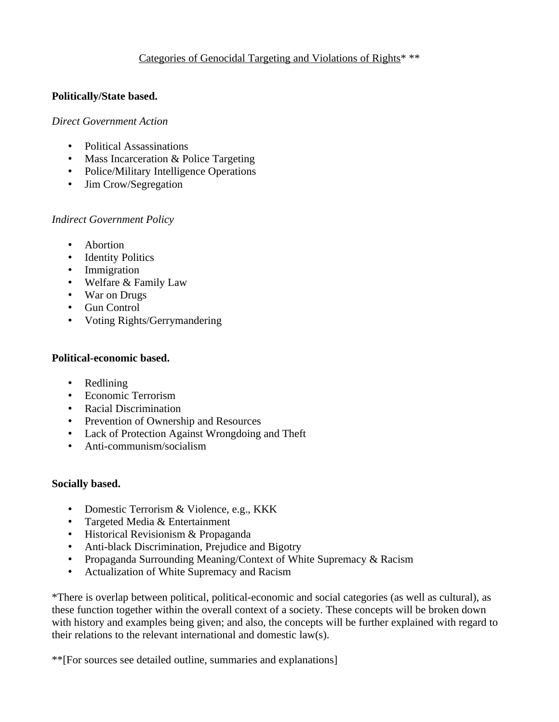# Categories of Genocidal Targeting and Violations of Rights\* \*\*

## **Politically/State based.**

#### *Direct Government Action*

- Political Assassinations
- Mass Incarceration & Police Targeting
- Police/Military Intelligence Operations
- Jim Crow/Segregation

#### *Indirect Government Policy*

- Abortion
- Identity Politics
- Immigration
- Welfare & Family Law
- War on Drugs
- Gun Control
- Voting Rights/Gerrymandering

# **Political-economic based.**

- Redlining
- Economic Terrorism
- Racial Discrimination
- Prevention of Ownership and Resources
- Lack of Protection Against Wrongdoing and Theft
- Anti-communism/socialism

#### **Socially based.**

- Domestic Terrorism & Violence, e.g., KKK
- Targeted Media & Entertainment
- Historical Revisionism & Propaganda
- Anti-black Discrimination, Prejudice and Bigotry
- Propaganda Surrounding Meaning/Context of White Supremacy & Racism
- Actualization of White Supremacy and Racism

\*There is overlap between political, political-economic and social categories (as well as cultural), as these function together within the overall context of a society. These concepts will be broken down with history and examples being given; and also, the concepts will be further explained with regard to their relations to the relevant international and domestic law(s).

\*\*[For sources see detailed outline, summaries and explanations]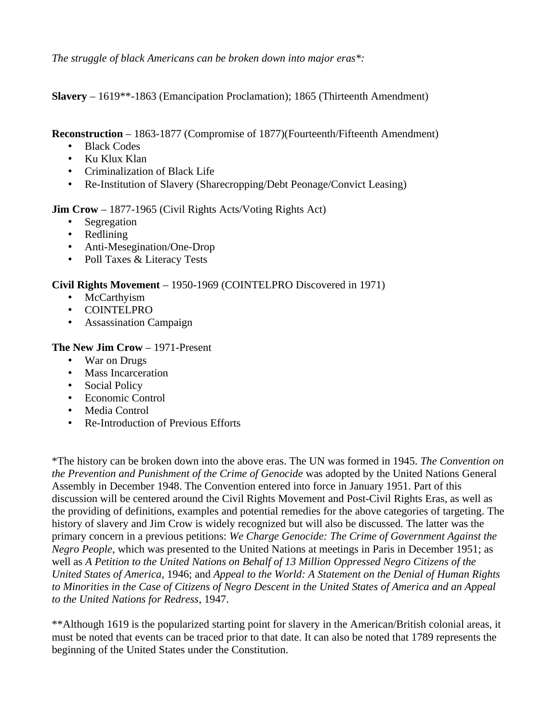*The struggle of black Americans can be broken down into major eras\*:*

**Slavery** – 1619\*\*-1863 (Emancipation Proclamation); 1865 (Thirteenth Amendment)

**Reconstruction** – 1863-1877 (Compromise of 1877)(Fourteenth/Fifteenth Amendment)

- Black Codes
- Ku Klux Klan
- Criminalization of Black Life
- Re-Institution of Slavery (Sharecropping/Debt Peonage/Convict Leasing)

**Jim Crow** – 1877-1965 (Civil Rights Acts/Voting Rights Act)

- Segregation
- Redlining
- Anti-Mesegination/One-Drop
- Poll Taxes & Literacy Tests

# **Civil Rights Movement** – 1950-1969 (COINTELPRO Discovered in 1971)

- McCarthyism
- COINTELPRO
- Assassination Campaign

# **The New Jim Crow** – 1971-Present

- War on Drugs
- Mass Incarceration
- Social Policy
- Economic Control
- Media Control
- Re-Introduction of Previous Efforts

\*The history can be broken down into the above eras. The UN was formed in 1945. *The Convention on the Prevention and Punishment of the Crime of Genocide* was adopted by the United Nations General Assembly in December 1948. The Convention entered into force in January 1951. Part of this discussion will be centered around the Civil Rights Movement and Post-Civil Rights Eras, as well as the providing of definitions, examples and potential remedies for the above categories of targeting. The history of slavery and Jim Crow is widely recognized but will also be discussed. The latter was the primary concern in a previous petitions: *We Charge Genocide: The Crime of Government Against the Negro People*, which was presented to the United Nations at meetings in Paris in December 1951; as well as *A Petition to the United Nations on Behalf of 13 Million Oppressed Negro Citizens of the United States of America*, 1946; and *Appeal to the World: A Statement on the Denial of Human Rights to Minorities in the Case of Citizens of Negro Descent in the United States of America and an Appeal to the United Nations for Redress*, 1947.

\*\*Although 1619 is the popularized starting point for slavery in the American/British colonial areas, it must be noted that events can be traced prior to that date. It can also be noted that 1789 represents the beginning of the United States under the Constitution.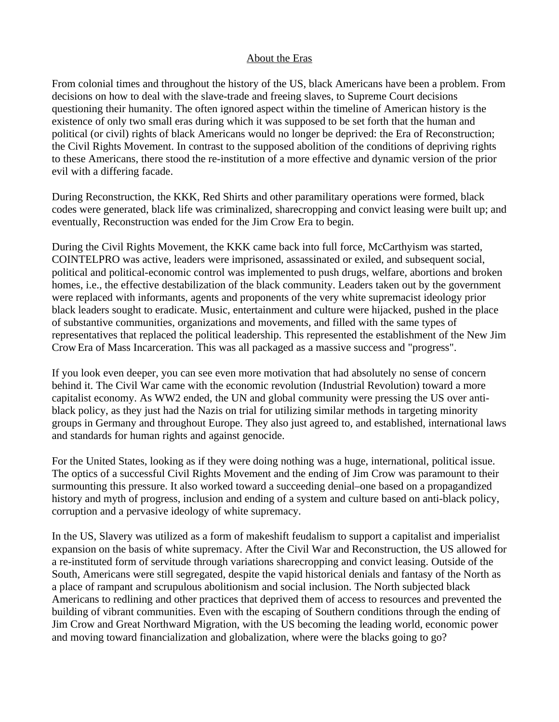## About the Eras

From colonial times and throughout the history of the US, black Americans have been a problem. From decisions on how to deal with the slave-trade and freeing slaves, to Supreme Court decisions questioning their humanity. The often ignored aspect within the timeline of American history is the existence of only two small eras during which it was supposed to be set forth that the human and political (or civil) rights of black Americans would no longer be deprived: the Era of Reconstruction; the Civil Rights Movement. In contrast to the supposed abolition of the conditions of depriving rights to these Americans, there stood the re-institution of a more effective and dynamic version of the prior evil with a differing facade.

During Reconstruction, the KKK, Red Shirts and other paramilitary operations were formed, black codes were generated, black life was criminalized, sharecropping and convict leasing were built up; and eventually, Reconstruction was ended for the Jim Crow Era to begin.

During the Civil Rights Movement, the KKK came back into full force, McCarthyism was started, COINTELPRO was active, leaders were imprisoned, assassinated or exiled, and subsequent social, political and political-economic control was implemented to push drugs, welfare, abortions and broken homes, i.e., the effective destabilization of the black community. Leaders taken out by the government were replaced with informants, agents and proponents of the very white supremacist ideology prior black leaders sought to eradicate. Music, entertainment and culture were hijacked, pushed in the place of substantive communities, organizations and movements, and filled with the same types of representatives that replaced the political leadership. This represented the establishment of the New Jim Crow Era of Mass Incarceration. This was all packaged as a massive success and "progress".

If you look even deeper, you can see even more motivation that had absolutely no sense of concern behind it. The Civil War came with the economic revolution (Industrial Revolution) toward a more capitalist economy. As WW2 ended, the UN and global community were pressing the US over antiblack policy, as they just had the Nazis on trial for utilizing similar methods in targeting minority groups in Germany and throughout Europe. They also just agreed to, and established, international laws and standards for human rights and against genocide.

For the United States, looking as if they were doing nothing was a huge, international, political issue. The optics of a successful Civil Rights Movement and the ending of Jim Crow was paramount to their surmounting this pressure. It also worked toward a succeeding denial–one based on a propagandized history and myth of progress, inclusion and ending of a system and culture based on anti-black policy, corruption and a pervasive ideology of white supremacy.

In the US, Slavery was utilized as a form of makeshift feudalism to support a capitalist and imperialist expansion on the basis of white supremacy. After the Civil War and Reconstruction, the US allowed for a re-instituted form of servitude through variations sharecropping and convict leasing. Outside of the South, Americans were still segregated, despite the vapid historical denials and fantasy of the North as a place of rampant and scrupulous abolitionism and social inclusion. The North subjected black Americans to redlining and other practices that deprived them of access to resources and prevented the building of vibrant communities. Even with the escaping of Southern conditions through the ending of Jim Crow and Great Northward Migration, with the US becoming the leading world, economic power and moving toward financialization and globalization, where were the blacks going to go?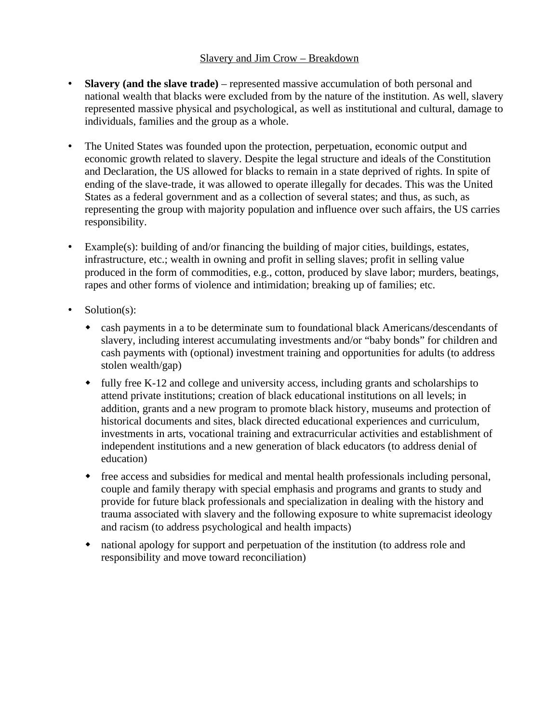# Slavery and Jim Crow – Breakdown

- **Slavery (and the slave trade)** represented massive accumulation of both personal and national wealth that blacks were excluded from by the nature of the institution. As well, slavery represented massive physical and psychological, as well as institutional and cultural, damage to individuals, families and the group as a whole.
- The United States was founded upon the protection, perpetuation, economic output and economic growth related to slavery. Despite the legal structure and ideals of the Constitution and Declaration, the US allowed for blacks to remain in a state deprived of rights. In spite of ending of the slave-trade, it was allowed to operate illegally for decades. This was the United States as a federal government and as a collection of several states; and thus, as such, as representing the group with majority population and influence over such affairs, the US carries responsibility.
- Example(s): building of and/or financing the building of major cities, buildings, estates, infrastructure, etc.; wealth in owning and profit in selling slaves; profit in selling value produced in the form of commodities, e.g., cotton, produced by slave labor; murders, beatings, rapes and other forms of violence and intimidation; breaking up of families; etc.
- Solution(s):
	- cash payments in a to be determinate sum to foundational black Americans/descendants of slavery, including interest accumulating investments and/or "baby bonds" for children and cash payments with (optional) investment training and opportunities for adults (to address stolen wealth/gap)
	- fully free K-12 and college and university access, including grants and scholarships to attend private institutions; creation of black educational institutions on all levels; in addition, grants and a new program to promote black history, museums and protection of historical documents and sites, black directed educational experiences and curriculum, investments in arts, vocational training and extracurricular activities and establishment of independent institutions and a new generation of black educators (to address denial of education)
	- free access and subsidies for medical and mental health professionals including personal, couple and family therapy with special emphasis and programs and grants to study and provide for future black professionals and specialization in dealing with the history and trauma associated with slavery and the following exposure to white supremacist ideology and racism (to address psychological and health impacts)
	- national apology for support and perpetuation of the institution (to address role and responsibility and move toward reconciliation)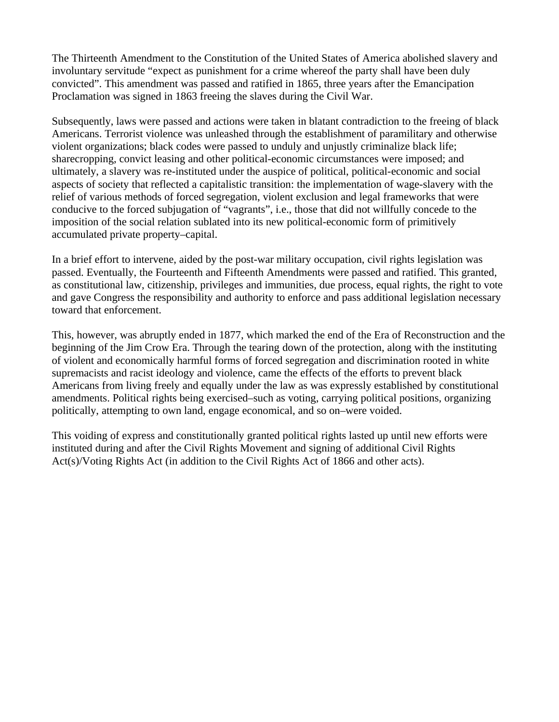The Thirteenth Amendment to the Constitution of the United States of America abolished slavery and involuntary servitude "expect as punishment for a crime whereof the party shall have been duly convicted". This amendment was passed and ratified in 1865, three years after the Emancipation Proclamation was signed in 1863 freeing the slaves during the Civil War.

Subsequently, laws were passed and actions were taken in blatant contradiction to the freeing of black Americans. Terrorist violence was unleashed through the establishment of paramilitary and otherwise violent organizations; black codes were passed to unduly and unjustly criminalize black life; sharecropping, convict leasing and other political-economic circumstances were imposed; and ultimately, a slavery was re-instituted under the auspice of political, political-economic and social aspects of society that reflected a capitalistic transition: the implementation of wage-slavery with the relief of various methods of forced segregation, violent exclusion and legal frameworks that were conducive to the forced subjugation of "vagrants", i.e., those that did not willfully concede to the imposition of the social relation sublated into its new political-economic form of primitively accumulated private property–capital.

In a brief effort to intervene, aided by the post-war military occupation, civil rights legislation was passed. Eventually, the Fourteenth and Fifteenth Amendments were passed and ratified. This granted, as constitutional law, citizenship, privileges and immunities, due process, equal rights, the right to vote and gave Congress the responsibility and authority to enforce and pass additional legislation necessary toward that enforcement.

This, however, was abruptly ended in 1877, which marked the end of the Era of Reconstruction and the beginning of the Jim Crow Era. Through the tearing down of the protection, along with the instituting of violent and economically harmful forms of forced segregation and discrimination rooted in white supremacists and racist ideology and violence, came the effects of the efforts to prevent black Americans from living freely and equally under the law as was expressly established by constitutional amendments. Political rights being exercised–such as voting, carrying political positions, organizing politically, attempting to own land, engage economical, and so on–were voided.

This voiding of express and constitutionally granted political rights lasted up until new efforts were instituted during and after the Civil Rights Movement and signing of additional Civil Rights Act(s)/Voting Rights Act (in addition to the Civil Rights Act of 1866 and other acts).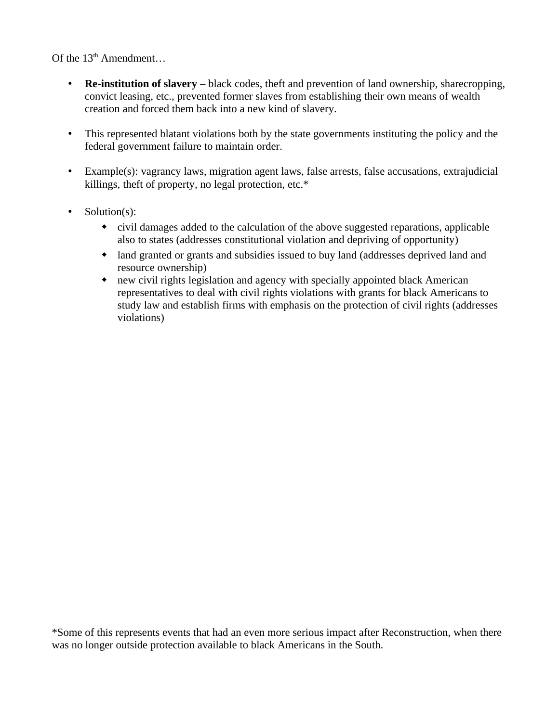Of the  $13<sup>th</sup>$  Amendment...

- **Re-institution of slavery**  black codes, theft and prevention of land ownership, sharecropping, convict leasing, etc., prevented former slaves from establishing their own means of wealth creation and forced them back into a new kind of slavery.
- This represented blatant violations both by the state governments instituting the policy and the federal government failure to maintain order.
- Example(s): vagrancy laws, migration agent laws, false arrests, false accusations, extrajudicial killings, theft of property, no legal protection, etc.\*
- Solution(s):
	- civil damages added to the calculation of the above suggested reparations, applicable also to states (addresses constitutional violation and depriving of opportunity)
	- land granted or grants and subsidies issued to buy land (addresses deprived land and resource ownership)
	- new civil rights legislation and agency with specially appointed black American representatives to deal with civil rights violations with grants for black Americans to study law and establish firms with emphasis on the protection of civil rights (addresses violations)

\*Some of this represents events that had an even more serious impact after Reconstruction, when there was no longer outside protection available to black Americans in the South.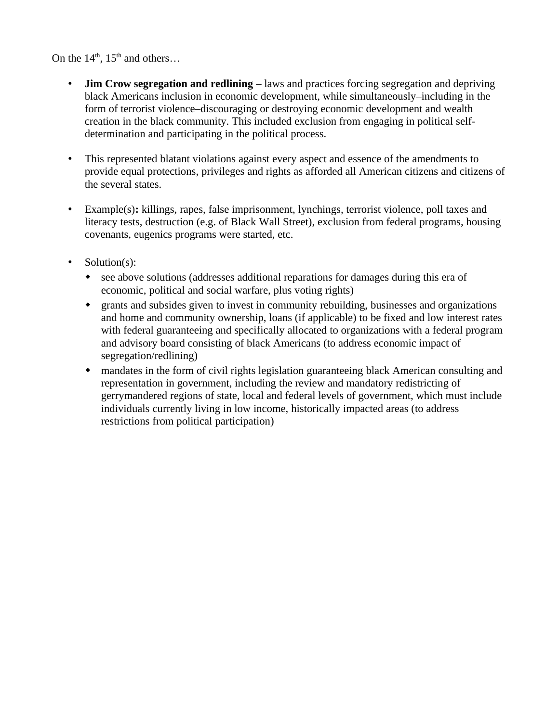On the  $14<sup>th</sup>$ ,  $15<sup>th</sup>$  and others...

- **Jim Crow segregation and redlining** laws and practices forcing segregation and depriving black Americans inclusion in economic development, while simultaneously–including in the form of terrorist violence–discouraging or destroying economic development and wealth creation in the black community. This included exclusion from engaging in political selfdetermination and participating in the political process.
- This represented blatant violations against every aspect and essence of the amendments to provide equal protections, privileges and rights as afforded all American citizens and citizens of the several states.
- Example(s)**:** killings, rapes, false imprisonment, lynchings, terrorist violence, poll taxes and literacy tests, destruction (e.g. of Black Wall Street), exclusion from federal programs, housing covenants, eugenics programs were started, etc.
- Solution(s):
	- see above solutions (addresses additional reparations for damages during this era of economic, political and social warfare, plus voting rights)
	- grants and subsides given to invest in community rebuilding, businesses and organizations and home and community ownership, loans (if applicable) to be fixed and low interest rates with federal guaranteeing and specifically allocated to organizations with a federal program and advisory board consisting of black Americans (to address economic impact of segregation/redlining)
	- mandates in the form of civil rights legislation guaranteeing black American consulting and representation in government, including the review and mandatory redistricting of gerrymandered regions of state, local and federal levels of government, which must include individuals currently living in low income, historically impacted areas (to address restrictions from political participation)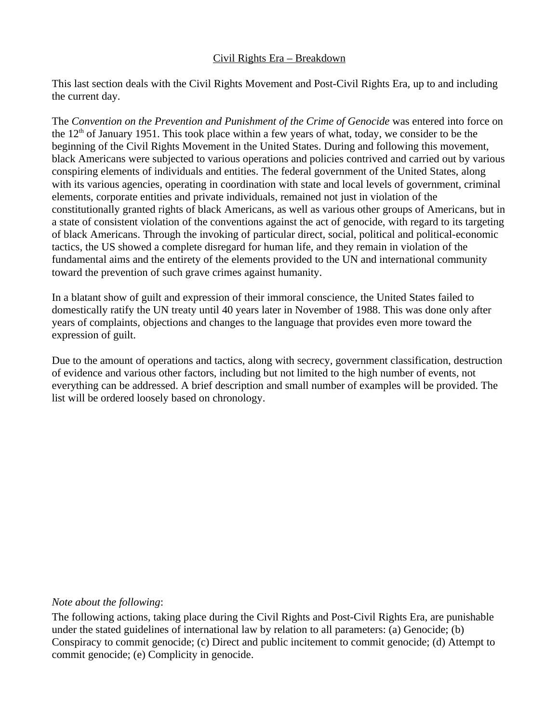# Civil Rights Era – Breakdown

This last section deals with the Civil Rights Movement and Post-Civil Rights Era, up to and including the current day.

The *Convention on the Prevention and Punishment of the Crime of Genocide* was entered into force on the  $12<sup>th</sup>$  of January 1951. This took place within a few years of what, today, we consider to be the beginning of the Civil Rights Movement in the United States. During and following this movement, black Americans were subjected to various operations and policies contrived and carried out by various conspiring elements of individuals and entities. The federal government of the United States, along with its various agencies, operating in coordination with state and local levels of government, criminal elements, corporate entities and private individuals, remained not just in violation of the constitutionally granted rights of black Americans, as well as various other groups of Americans, but in a state of consistent violation of the conventions against the act of genocide, with regard to its targeting of black Americans. Through the invoking of particular direct, social, political and political-economic tactics, the US showed a complete disregard for human life, and they remain in violation of the fundamental aims and the entirety of the elements provided to the UN and international community toward the prevention of such grave crimes against humanity.

In a blatant show of guilt and expression of their immoral conscience, the United States failed to domestically ratify the UN treaty until 40 years later in November of 1988. This was done only after years of complaints, objections and changes to the language that provides even more toward the expression of guilt.

Due to the amount of operations and tactics, along with secrecy, government classification, destruction of evidence and various other factors, including but not limited to the high number of events, not everything can be addressed. A brief description and small number of examples will be provided. The list will be ordered loosely based on chronology.

# *Note about the following*:

The following actions, taking place during the Civil Rights and Post-Civil Rights Era, are punishable under the stated guidelines of international law by relation to all parameters: (a) Genocide; (b) Conspiracy to commit genocide; (c) Direct and public incitement to commit genocide; (d) Attempt to commit genocide; (e) Complicity in genocide.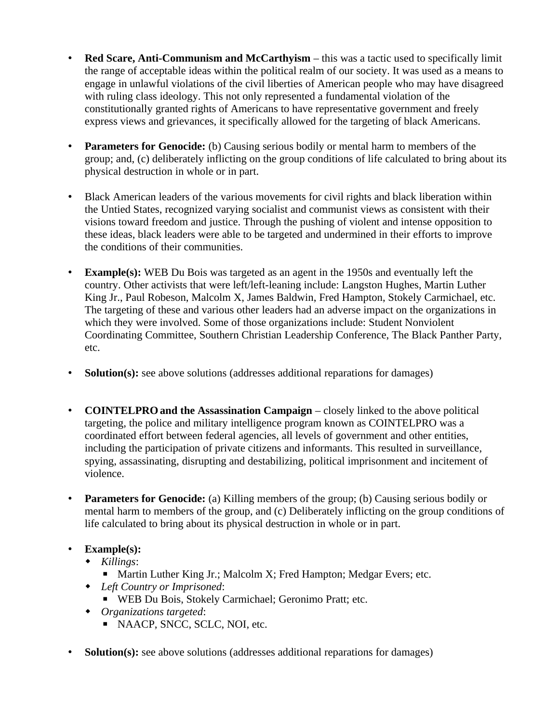- **Red Scare, Anti-Communism and McCarthyism** this was a tactic used to specifically limit the range of acceptable ideas within the political realm of our society. It was used as a means to engage in unlawful violations of the civil liberties of American people who may have disagreed with ruling class ideology. This not only represented a fundamental violation of the constitutionally granted rights of Americans to have representative government and freely express views and grievances, it specifically allowed for the targeting of black Americans.
- **Parameters for Genocide:** (b) Causing serious bodily or mental harm to members of the group; and, (c) deliberately inflicting on the group conditions of life calculated to bring about its physical destruction in whole or in part.
- Black American leaders of the various movements for civil rights and black liberation within the Untied States, recognized varying socialist and communist views as consistent with their visions toward freedom and justice. Through the pushing of violent and intense opposition to these ideas, black leaders were able to be targeted and undermined in their efforts to improve the conditions of their communities.
- **Example(s):** WEB Du Bois was targeted as an agent in the 1950s and eventually left the country. Other activists that were left/left-leaning include: Langston Hughes, Martin Luther King Jr., Paul Robeson, Malcolm X, James Baldwin, Fred Hampton, Stokely Carmichael, etc. The targeting of these and various other leaders had an adverse impact on the organizations in which they were involved. Some of those organizations include: Student Nonviolent Coordinating Committee, Southern Christian Leadership Conference, The Black Panther Party, etc.
- **Solution(s):** see above solutions (addresses additional reparations for damages)
- **COINTELPROand the Assassination Campaign** closely linked to the above political targeting, the police and military intelligence program known as COINTELPRO was a coordinated effort between federal agencies, all levels of government and other entities, including the participation of private citizens and informants. This resulted in surveillance, spying, assassinating, disrupting and destabilizing, political imprisonment and incitement of violence.
- **Parameters for Genocide:** (a) Killing members of the group; (b) Causing serious bodily or mental harm to members of the group, and (c) Deliberately inflicting on the group conditions of life calculated to bring about its physical destruction in whole or in part.

# • **Example(s):**

- *Killings*:
	- Martin Luther King Jr.; Malcolm X; Fred Hampton; Medgar Evers; etc.
- *Left Country or Imprisoned*:
	- WEB Du Bois, Stokely Carmichael; Geronimo Pratt; etc.
- *Organizations targeted*:
	- NAACP, SNCC, SCLC, NOI, etc.
- **Solution(s):** see above solutions (addresses additional reparations for damages)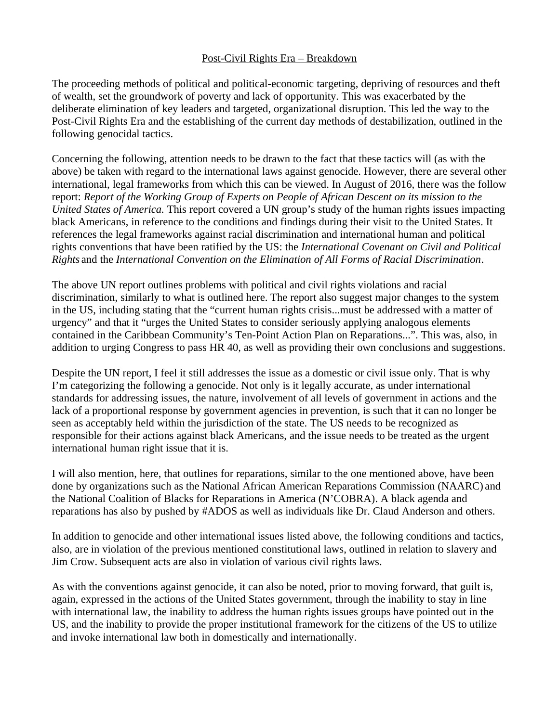# Post-Civil Rights Era – Breakdown

The proceeding methods of political and political-economic targeting, depriving of resources and theft of wealth, set the groundwork of poverty and lack of opportunity. This was exacerbated by the deliberate elimination of key leaders and targeted, organizational disruption. This led the way to the Post-Civil Rights Era and the establishing of the current day methods of destabilization, outlined in the following genocidal tactics.

Concerning the following, attention needs to be drawn to the fact that these tactics will (as with the above) be taken with regard to the international laws against genocide. However, there are several other international, legal frameworks from which this can be viewed. In August of 2016, there was the follow report: *Report of the Working Group of Experts on People of African Descent on its mission to the United States of America.* This report covered a UN group's study of the human rights issues impacting black Americans, in reference to the conditions and findings during their visit to the United States. It references the legal frameworks against racial discrimination and international human and political rights conventions that have been ratified by the US: the *International Covenant on Civil and Political Rights* and the *International Convention on the Elimination of All Forms of Racial Discrimination*.

The above UN report outlines problems with political and civil rights violations and racial discrimination, similarly to what is outlined here. The report also suggest major changes to the system in the US, including stating that the "current human rights crisis...must be addressed with a matter of urgency" and that it "urges the United States to consider seriously applying analogous elements contained in the Caribbean Community's Ten-Point Action Plan on Reparations...". This was, also, in addition to urging Congress to pass HR 40, as well as providing their own conclusions and suggestions.

Despite the UN report, I feel it still addresses the issue as a domestic or civil issue only. That is why I'm categorizing the following a genocide. Not only is it legally accurate, as under international standards for addressing issues, the nature, involvement of all levels of government in actions and the lack of a proportional response by government agencies in prevention, is such that it can no longer be seen as acceptably held within the jurisdiction of the state. The US needs to be recognized as responsible for their actions against black Americans, and the issue needs to be treated as the urgent international human right issue that it is.

I will also mention, here, that outlines for reparations, similar to the one mentioned above, have been done by organizations such as the National African American Reparations Commission (NAARC) and the National Coalition of Blacks for Reparations in America (N'COBRA). A black agenda and reparations has also by pushed by #ADOS as well as individuals like Dr. Claud Anderson and others.

In addition to genocide and other international issues listed above, the following conditions and tactics, also, are in violation of the previous mentioned constitutional laws, outlined in relation to slavery and Jim Crow. Subsequent acts are also in violation of various civil rights laws.

As with the conventions against genocide, it can also be noted, prior to moving forward, that guilt is, again, expressed in the actions of the United States government, through the inability to stay in line with international law, the inability to address the human rights issues groups have pointed out in the US, and the inability to provide the proper institutional framework for the citizens of the US to utilize and invoke international law both in domestically and internationally.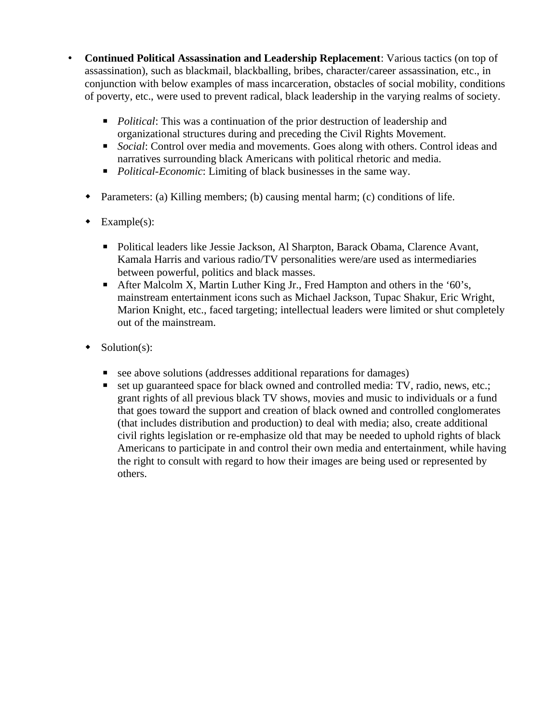- **Continued Political Assassination and Leadership Replacement**: Various tactics (on top of assassination), such as blackmail, blackballing, bribes, character/career assassination, etc., in conjunction with below examples of mass incarceration, obstacles of social mobility, conditions of poverty, etc., were used to prevent radical, black leadership in the varying realms of society.
	- *Political*: This was a continuation of the prior destruction of leadership and organizational structures during and preceding the Civil Rights Movement.
	- *Social*: Control over media and movements. Goes along with others. Control ideas and narratives surrounding black Americans with political rhetoric and media.
	- *Political-Economic*: Limiting of black businesses in the same way.
	- Parameters: (a) Killing members; (b) causing mental harm; (c) conditions of life.
	- $\bullet$  Example(s):
		- Political leaders like Jessie Jackson, Al Sharpton, Barack Obama, Clarence Avant, Kamala Harris and various radio/TV personalities were/are used as intermediaries between powerful, politics and black masses.
		- After Malcolm X, Martin Luther King Jr., Fred Hampton and others in the '60's, mainstream entertainment icons such as Michael Jackson, Tupac Shakur, Eric Wright, Marion Knight, etc., faced targeting; intellectual leaders were limited or shut completely out of the mainstream.
	- $\bullet$  Solution(s):
		- see above solutions (addresses additional reparations for damages)
		- set up guaranteed space for black owned and controlled media: TV, radio, news, etc.; grant rights of all previous black TV shows, movies and music to individuals or a fund that goes toward the support and creation of black owned and controlled conglomerates (that includes distribution and production) to deal with media; also, create additional civil rights legislation or re-emphasize old that may be needed to uphold rights of black Americans to participate in and control their own media and entertainment, while having the right to consult with regard to how their images are being used or represented by others.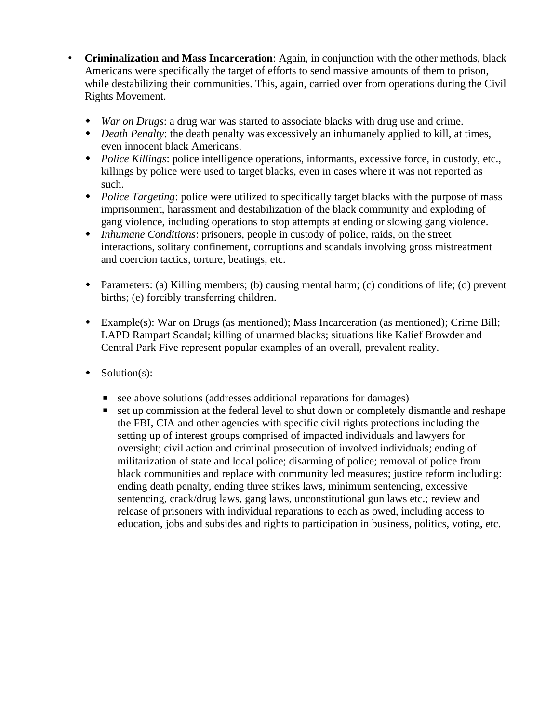- **Criminalization and Mass Incarceration**: Again, in conjunction with the other methods, black Americans were specifically the target of efforts to send massive amounts of them to prison, while destabilizing their communities. This, again, carried over from operations during the Civil Rights Movement.
	- *War on Drugs*: a drug war was started to associate blacks with drug use and crime.
	- *Death Penalty*: the death penalty was excessively an inhumanely applied to kill, at times, even innocent black Americans.
	- *Police Killings*: police intelligence operations, informants, excessive force, in custody, etc., killings by police were used to target blacks, even in cases where it was not reported as such.
	- *Police Targeting*: police were utilized to specifically target blacks with the purpose of mass imprisonment, harassment and destabilization of the black community and exploding of gang violence, including operations to stop attempts at ending or slowing gang violence.
	- *Inhumane Conditions*: prisoners, people in custody of police, raids, on the street interactions, solitary confinement, corruptions and scandals involving gross mistreatment and coercion tactics, torture, beatings, etc.
	- Parameters: (a) Killing members; (b) causing mental harm; (c) conditions of life; (d) prevent births; (e) forcibly transferring children.
	- Example(s): War on Drugs (as mentioned); Mass Incarceration (as mentioned); Crime Bill; LAPD Rampart Scandal; killing of unarmed blacks; situations like Kalief Browder and Central Park Five represent popular examples of an overall, prevalent reality.
	- $\bullet$  Solution(s):
		- see above solutions (addresses additional reparations for damages)
		- set up commission at the federal level to shut down or completely dismantle and reshape the FBI, CIA and other agencies with specific civil rights protections including the setting up of interest groups comprised of impacted individuals and lawyers for oversight; civil action and criminal prosecution of involved individuals; ending of militarization of state and local police; disarming of police; removal of police from black communities and replace with community led measures; justice reform including: ending death penalty, ending three strikes laws, minimum sentencing, excessive sentencing, crack/drug laws, gang laws, unconstitutional gun laws etc.; review and release of prisoners with individual reparations to each as owed, including access to education, jobs and subsides and rights to participation in business, politics, voting, etc.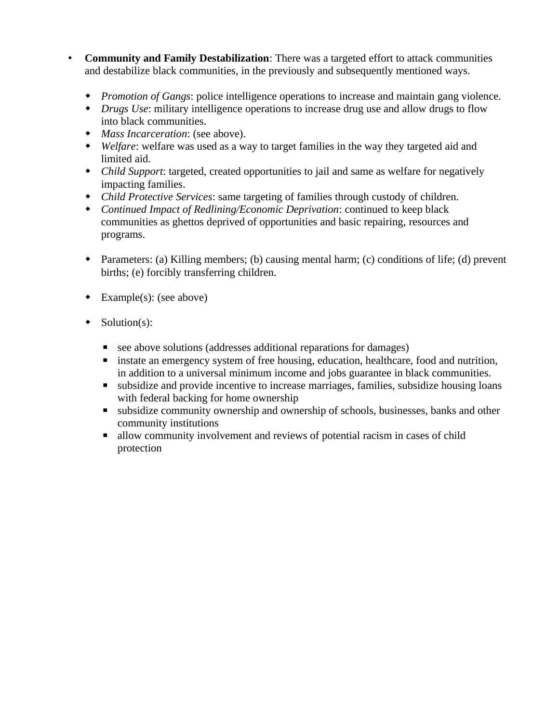- **Community and Family Destabilization**: There was a targeted effort to attack communities and destabilize black communities, in the previously and subsequently mentioned ways.
	- *Promotion of Gangs*: police intelligence operations to increase and maintain gang violence.
	- *Drugs Use*: military intelligence operations to increase drug use and allow drugs to flow into black communities.
	- *Mass Incarceration*: (see above).
	- *Welfare*: welfare was used as a way to target families in the way they targeted aid and limited aid.
	- *Child Support*: targeted, created opportunities to jail and same as welfare for negatively impacting families.
	- *Child Protective Services*: same targeting of families through custody of children.
	- *Continued Impact of Redlining/Economic Deprivation*: continued to keep black communities as ghettos deprived of opportunities and basic repairing, resources and programs.
	- Parameters: (a) Killing members; (b) causing mental harm; (c) conditions of life; (d) prevent births; (e) forcibly transferring children.
	- Example(s): (see above)
	- $\bullet$  Solution(s):
		- see above solutions (addresses additional reparations for damages)
		- instate an emergency system of free housing, education, healthcare, food and nutrition, in addition to a universal minimum income and jobs guarantee in black communities.
		- subsidize and provide incentive to increase marriages, families, subsidize housing loans with federal backing for home ownership
		- subsidize community ownership and ownership of schools, businesses, banks and other community institutions
		- allow community involvement and reviews of potential racism in cases of child protection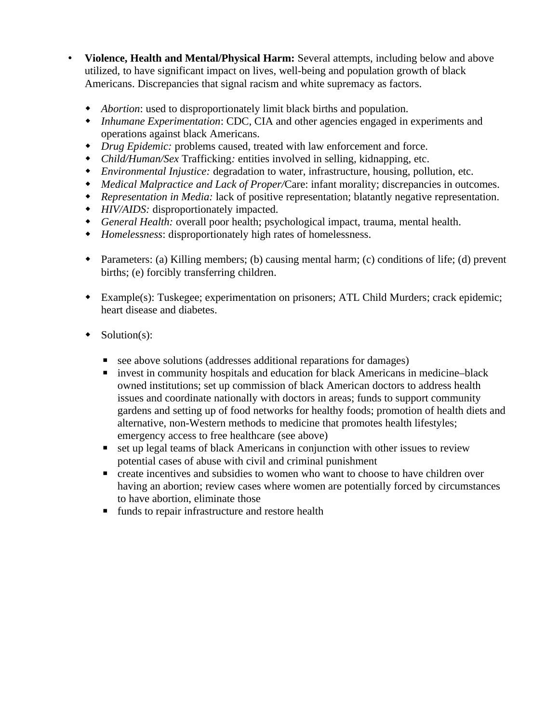- **Violence, Health and Mental/Physical Harm:** Several attempts, including below and above utilized, to have significant impact on lives, well-being and population growth of black Americans. Discrepancies that signal racism and white supremacy as factors.
	- *Abortion*: used to disproportionately limit black births and population.
	- *Inhumane Experimentation*: CDC, CIA and other agencies engaged in experiments and operations against black Americans.
	- *Drug Epidemic:* problems caused, treated with law enforcement and force.
	- *Child/Human/Sex* Trafficking*:* entities involved in selling, kidnapping, etc.
	- *Environmental Injustice:* degradation to water, infrastructure, housing, pollution, etc.
	- *Medical Malpractice and Lack of Proper/*Care: infant morality; discrepancies in outcomes.
	- *Representation in Media:* lack of positive representation; blatantly negative representation.
	- *HIV/AIDS:* disproportionately impacted.
	- *General Health:* overall poor health; psychological impact, trauma, mental health.
	- *Homelessness*: disproportionately high rates of homelessness.
	- Parameters: (a) Killing members; (b) causing mental harm; (c) conditions of life; (d) prevent births; (e) forcibly transferring children.
	- Example(s): Tuskegee; experimentation on prisoners; ATL Child Murders; crack epidemic; heart disease and diabetes.
	- $\bullet$  Solution(s):
		- see above solutions (addresses additional reparations for damages)
		- invest in community hospitals and education for black Americans in medicine–black owned institutions; set up commission of black American doctors to address health issues and coordinate nationally with doctors in areas; funds to support community gardens and setting up of food networks for healthy foods; promotion of health diets and alternative, non-Western methods to medicine that promotes health lifestyles; emergency access to free healthcare (see above)
		- set up legal teams of black Americans in conjunction with other issues to review potential cases of abuse with civil and criminal punishment
		- create incentives and subsidies to women who want to choose to have children over having an abortion; review cases where women are potentially forced by circumstances to have abortion, eliminate those
		- **■** funds to repair infrastructure and restore health